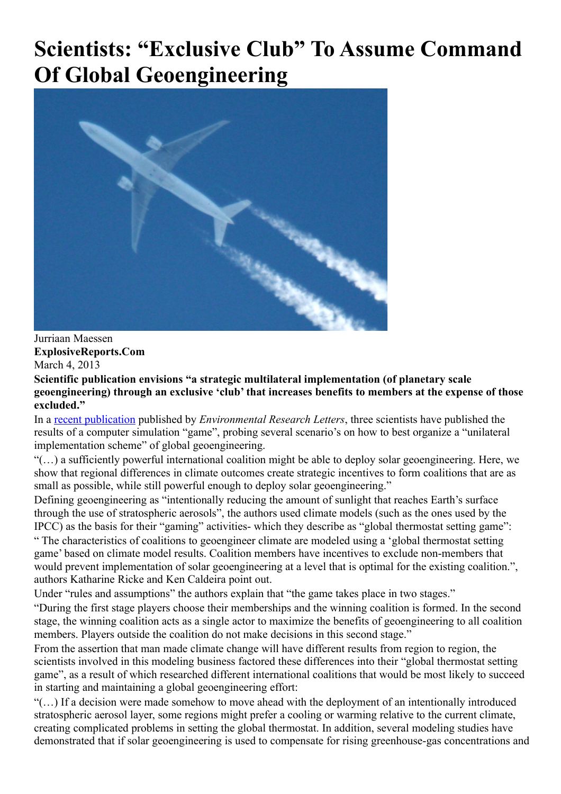# **Scientists: "Exclusive Club" To Assume Command Of Global Geoengineering**



Jurriaan Maessen **ExplosiveReports.Com** March 4, 2013

**Scientific publication envisions "a strategic multilateral implementation (of planetary scale geoengineering) through an exclusive 'club' that increases benefits to members at the expense of those excluded."**

In a [recent publication](http://iopscience.iop.org/1748-9326/8/1/014021/pdf/1748-9326_8_1_014021.pdf) published by *Environmental Research Letters*, three scientists have published the results of a computer simulation "game", probing several scenario's on how to best organize a "unilateral implementation scheme" of global geoengineering.

"(…) a sufficiently powerful international coalition might be able to deploy solar geoengineering. Here, we show that regional differences in climate outcomes create strategic incentives to form coalitions that are as small as possible, while still powerful enough to deploy solar geoengineering."

Defining geoengineering as "intentionally reducing the amount of sunlight that reaches Earth's surface through the use of stratospheric aerosols", the authors used climate models (such as the ones used by the IPCC) as the basis for their "gaming" activities- which they describe as "global thermostat setting game":

" The characteristics of coalitions to geoengineer climate are modeled using a 'global thermostat setting game' based on climate model results. Coalition members have incentives to exclude non-members that would prevent implementation of solar geoengineering at a level that is optimal for the existing coalition.", authors Katharine Ricke and Ken Caldeira point out.

Under "rules and assumptions" the authors explain that "the game takes place in two stages."

"During the first stage players choose their memberships and the winning coalition is formed. In the second stage, the winning coalition acts as a single actor to maximize the benefits of geoengineering to all coalition members. Players outside the coalition do not make decisions in this second stage."

From the assertion that man made climate change will have different results from region to region, the scientists involved in this modeling business factored these differences into their "global thermostat setting game", as a result of which researched different international coalitions that would be most likely to succeed in starting and maintaining a global geoengineering effort:

"(…) If a decision were made somehow to move ahead with the deployment of an intentionally introduced stratospheric aerosol layer, some regions might prefer a cooling or warming relative to the current climate, creating complicated problems in setting the global thermostat. In addition, several modeling studies have demonstrated that if solar geoengineering is used to compensate for rising greenhouse-gas concentrations and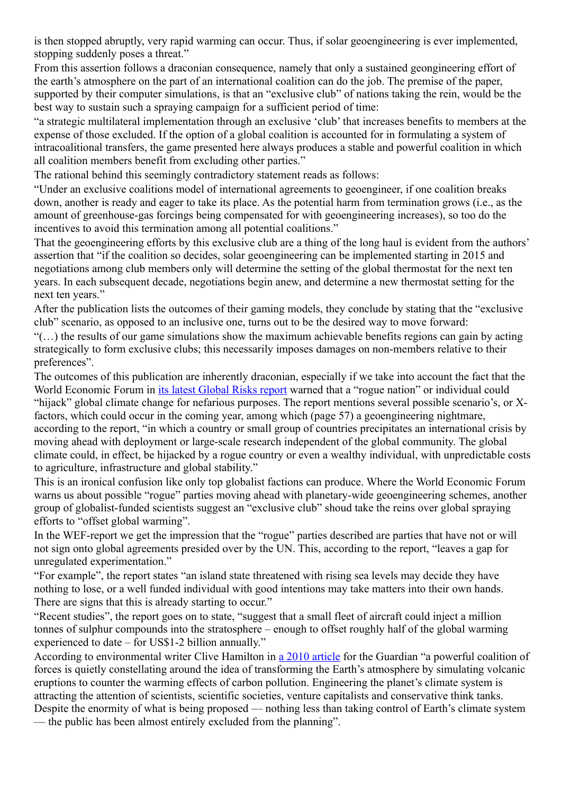is then stopped abruptly, very rapid warming can occur. Thus, if solar geoengineering is ever implemented, stopping suddenly poses a threat."

From this assertion follows a draconian consequence, namely that only a sustained geongineering effort of the earth's atmosphere on the part of an international coalition can do the job. The premise of the paper, supported by their computer simulations, is that an "exclusive club" of nations taking the rein, would be the best way to sustain such a spraying campaign for a sufficient period of time:

"a strategic multilateral implementation through an exclusive 'club' that increases benefits to members at the expense of those excluded. If the option of a global coalition is accounted for in formulating a system of intracoalitional transfers, the game presented here always produces a stable and powerful coalition in which all coalition members benefit from excluding other parties."

The rational behind this seemingly contradictory statement reads as follows:

"Under an exclusive coalitions model of international agreements to geoengineer, if one coalition breaks down, another is ready and eager to take its place. As the potential harm from termination grows (i.e., as the amount of greenhouse-gas forcings being compensated for with geoengineering increases), so too do the incentives to avoid this termination among all potential coalitions."

That the geoengineering efforts by this exclusive club are a thing of the long haul is evident from the authors' assertion that "if the coalition so decides, solar geoengineering can be implemented starting in 2015 and negotiations among club members only will determine the setting of the global thermostat for the next ten years. In each subsequent decade, negotiations begin anew, and determine a new thermostat setting for the next ten years."

After the publication lists the outcomes of their gaming models, they conclude by stating that the "exclusive club" scenario, as opposed to an inclusive one, turns out to be the desired way to move forward:

"(…) the results of our game simulations show the maximum achievable benefits regions can gain by acting strategically to form exclusive clubs; this necessarily imposes damages on non-members relative to their preferences".

The outcomes of this publication are inherently draconian, especially if we take into account the fact that the World Economic Forum in [its latest Global Risks report](http://www3.weforum.org/docs/WEF_GlobalRisks_Report_2013.pdf) warned that a "rogue nation" or individual could "hijack" global climate change for nefarious purposes. The report mentions several possible scenario's, or Xfactors, which could occur in the coming year, among which (page 57) a geoengineering nightmare, according to the report, "in which a country or small group of countries precipitates an international crisis by moving ahead with deployment or large-scale research independent of the global community. The global climate could, in effect, be hijacked by a rogue country or even a wealthy individual, with unpredictable costs to agriculture, infrastructure and global stability."

This is an ironical confusion like only top globalist factions can produce. Where the World Economic Forum warns us about possible "rogue" parties moving ahead with planetary-wide geoengineering schemes, another group of globalist-funded scientists suggest an "exclusive club" shoud take the reins over global spraying efforts to "offset global warming".

In the WEF-report we get the impression that the "rogue" parties described are parties that have not or will not sign onto global agreements presided over by the UN. This, according to the report, "leaves a gap for unregulated experimentation."

"For example", the report states "an island state threatened with rising sea levels may decide they have nothing to lose, or a well funded individual with good intentions may take matters into their own hands. There are signs that this is already starting to occur."

"Recent studies", the report goes on to state, "suggest that a small fleet of aircraft could inject a million tonnes of sulphur compounds into the stratosphere – enough to offset roughly half of the global warming experienced to date – for US\$1-2 billion annually."

According to environmental writer Clive Hamilton in [a 2010 article](http://www.guardian.co.uk/environment/2010/sep/13/geoengineering-coalition-world-climate) for the Guardian "a powerful coalition of forces is quietly constellating around the idea of transforming the Earth's atmosphere by simulating volcanic eruptions to counter the warming effects of carbon pollution. Engineering the planet's climate system is attracting the attention of scientists, scientific societies, venture capitalists and conservative think tanks. Despite the enormity of what is being proposed — nothing less than taking control of Earth's climate system

— the public has been almost entirely excluded from the planning".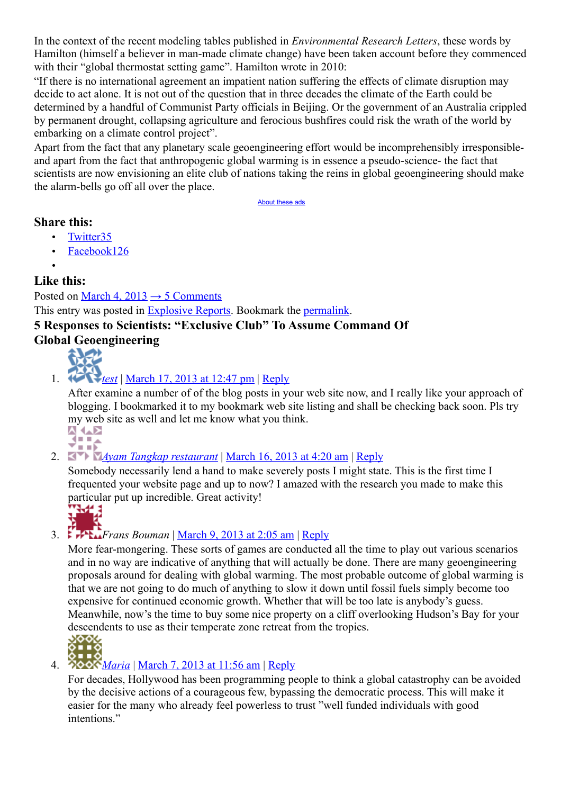In the context of the recent modeling tables published in *Environmental Research Letters*, these words by Hamilton (himself a believer in man-made climate change) have been taken account before they commenced with their "global thermostat setting game". Hamilton wrote in 2010:

"If there is no international agreement an impatient nation suffering the effects of climate disruption may decide to act alone. It is not out of the question that in three decades the climate of the Earth could be determined by a handful of Communist Party officials in Beijing. Or the government of an Australia crippled by permanent drought, collapsing agriculture and ferocious bushfires could risk the wrath of the world by embarking on a climate control project".

Apart from the fact that any planetary scale geoengineering effort would be incomprehensibly irresponsibleand apart from the fact that anthropogenic global warming is in essence a pseudo-science- the fact that scientists are now envisioning an elite club of nations taking the reins in global geoengineering should make the alarm-bells go off all over the place.

<span id="page-2-8"></span><span id="page-2-7"></span><span id="page-2-6"></span><span id="page-2-5"></span><span id="page-2-4"></span>[About these ads](http://en.wordpress.com/about-these-ads/)

#### **Share this:**

- • [Twitter35](http://explosivereports.com/2013/03/04/scientists-exclusive-club-to-assume-command-of-global-geoengineering/?share=twitter&nb=1)
- • [Facebook126](http://explosivereports.com/2013/03/04/scientists-exclusive-club-to-assume-command-of-global-geoengineering/?share=facebook&nb=1)
- •

### **Like this:**

Posted on [March 4, 2013](http://explosivereports.com/2013/03/04/scientists-exclusive-club-to-assume-command-of-global-geoengineering/)  $\rightarrow$  5 Comments This entry was posted in [Explosive Reports.](http://explosivereports.com/category/explosive-reports/) Bookmark the [permalink.](http://explosivereports.com/2013/03/04/scientists-exclusive-club-to-assume-command-of-global-geoengineering/) **5 Responses to Scientists: "Exclusive Club" To Assume Command Of**

## **Global Geoengineering**



1. *[test](http://testdomain.com/)* | [March 17, 2013 at 12:47 pm](#page-2-7) | [Reply](#page-2-6)

After examine a number of of the blog posts in your web site now, and I really like your approach of blogging. I bookmarked it to my bookmark web site listing and shall be checking back soon. Pls try my web site as well and let me know what you think.



2. *[Ayam Tangkap restaurant](http://www.bucesi.com/news/office/newsxp/ReadNews.asp?id=error&NewsID=248&BigClassName=%C2%B5%C3%98%C3%8C%C3%BA%C3%90%C3%82%C3%8E%C3%85&SmallClassName=%C2%B1%C2%B1%C2%BE%C2%A9%C2%B5%C3%98%C3%8C%C3%BA%C3%8E%C3%A5%C2%BA%C3%85%C3%8F%C3%9F&SpecialID=0)* | [March 16, 2013 at 4:20 am](#page-2-5) | [Reply](#page-2-4)

Somebody necessarily lend a hand to make severely posts I might state. This is the first time I frequented your website page and up to now? I amazed with the research you made to make this particular put up incredible. Great activity!

<span id="page-2-3"></span><span id="page-2-2"></span>

# 3. **Frans Bouman** | <u>March 9, 2013 at 2:05 am | [Reply](#page-2-2)</u>

More fear-mongering. These sorts of games are conducted all the time to play out various scenarios and in no way are indicative of anything that will actually be done. There are many geoengineering proposals around for dealing with global warming. The most probable outcome of global warming is that we are not going to do much of anything to slow it down until fossil fuels simply become too expensive for continued economic growth. Whether that will be too late is anybody's guess. Meanwhile, now's the time to buy some nice property on a cliff overlooking Hudson's Bay for your descendents to use as their temperate zone retreat from the tropics.<br>  $\begin{array}{c}\n\bigcirc \bullet \bullet \bullet \bullet \\
\bullet \bullet \bullet \bullet \end{array}$ 

<span id="page-2-1"></span><span id="page-2-0"></span>

### 4. *[Maria](http://blog.ipublishers.co.uk/)* | [March 7, 2013 at 11:56 am](#page-2-1) | [Reply](#page-2-0)

For decades, Hollywood has been programming people to think a global catastrophy can be avoided by the decisive actions of a courageous few, bypassing the democratic process. This will make it easier for the many who already feel powerless to trust "well funded individuals with good intentions."